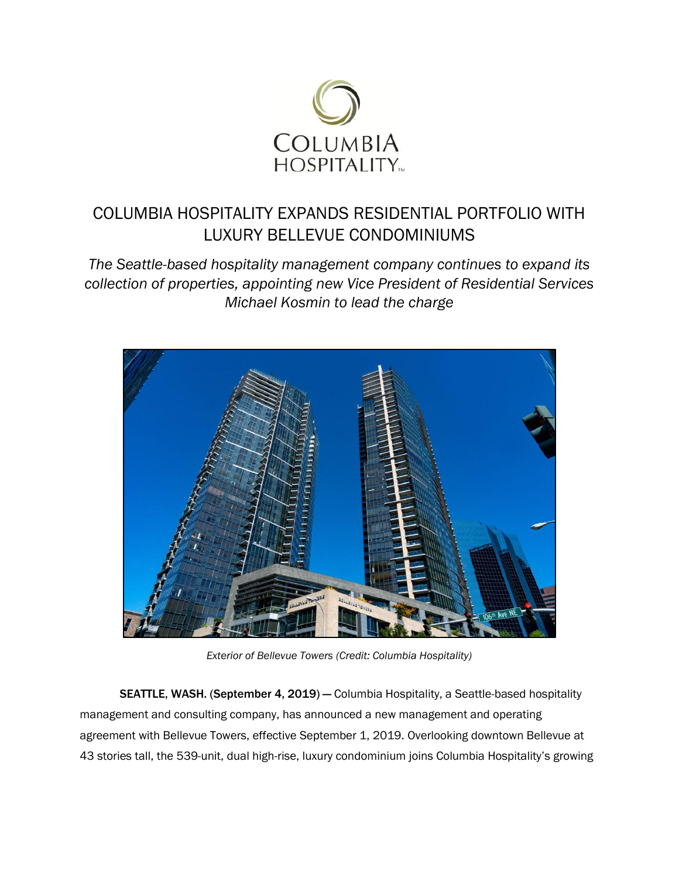

## COLUMBIA HOSPITALITY EXPANDS RESIDENTIAL PORTFOLIO WITH LUXURY BELLEVUE CONDOMINIUMS

*The Seattle-based hospitality management company continues to expand its collection of properties, appointing new Vice President of Residential Services Michael Kosmin to lead the charge*



*Exterior of Bellevue Towers (Credit: Columbia Hospitality)* 

SEATTLE, WASH. (September 4, 2019) — Columbia Hospitality, a Seattle-based hospitality management and consulting company, has announced a new management and operating agreement with Bellevue Towers, effective September 1, 2019. Overlooking downtown Bellevue at 43 stories tall, the 539-unit, dual high-rise, luxury condominium joins Columbia Hospitality's growing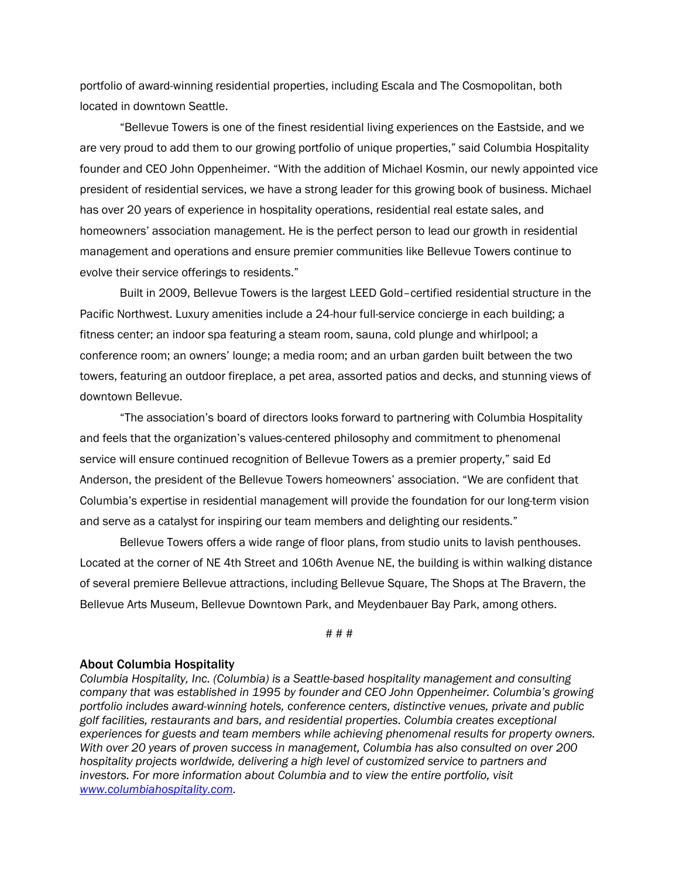portfolio of award-winning residential properties, including Escala and The Cosmopolitan, both located in downtown Seattle.

"Bellevue Towers is one of the finest residential living experiences on the Eastside, and we are very proud to add them to our growing portfolio of unique properties," said Columbia Hospitality founder and CEO John Oppenheimer. "With the addition of Michael Kosmin, our newly appointed vice president of residential services, we have a strong leader for this growing book of business. Michael has over 20 years of experience in hospitality operations, residential real estate sales, and homeowners' association management. He is the perfect person to lead our growth in residential management and operations and ensure premier communities like Bellevue Towers continue to evolve their service offerings to residents."

Built in 2009, Bellevue Towers is the largest LEED Gold–certified residential structure in the Pacific Northwest. Luxury amenities include a 24-hour full-service concierge in each building; a fitness center; an indoor spa featuring a steam room, sauna, cold plunge and whirlpool; a conference room; an owners' lounge; a media room; and an urban garden built between the two towers, featuring an outdoor fireplace, a pet area, assorted patios and decks, and stunning views of downtown Bellevue.

"The association's board of directors looks forward to partnering with Columbia Hospitality and feels that the organization's values-centered philosophy and commitment to phenomenal service will ensure continued recognition of Bellevue Towers as a premier property," said Ed Anderson, the president of the Bellevue Towers homeowners' association. "We are confident that Columbia's expertise in residential management will provide the foundation for our long-term vision and serve as a catalyst for inspiring our team members and delighting our residents."

Bellevue Towers offers a wide range of floor plans, from studio units to lavish penthouses. Located at the corner of NE 4th Street and 106th Avenue NE, the building is within walking distance of several premiere Bellevue attractions, including Bellevue Square, The Shops at The Bravern, the Bellevue Arts Museum, Bellevue Downtown Park, and Meydenbauer Bay Park, among others.

## # # #

## About Columbia Hospitality

*Columbia Hospitality, Inc. (Columbia) is a Seattle-based hospitality management and consulting company that was established in 1995 by founder and CEO John Oppenheimer. Columbia's growing portfolio includes award-winning hotels, conference centers, distinctive venues, private and public golf facilities, restaurants and bars, and residential properties. Columbia creates exceptional experiences for guests and team members while achieving phenomenal results for property owners. With over 20 years of proven success in management, Columbia has also consulted on over 200 hospitality projects worldwide, delivering a high level of customized service to partners and investors. For more information about Columbia and to view the entire portfolio, visit [www.columbiahospitality.com.](http://www.columbiahospitality.com/)*